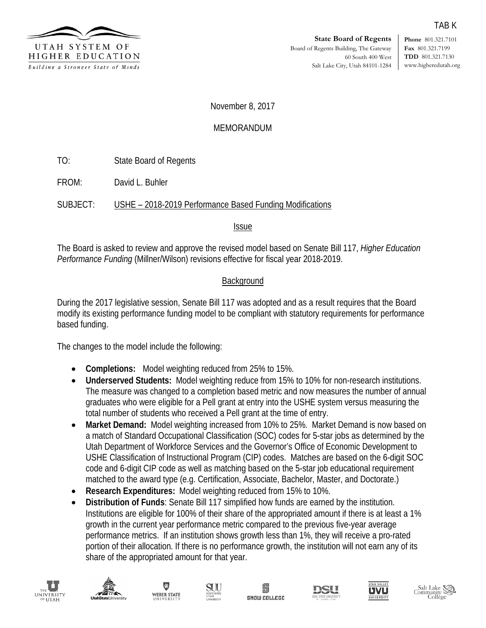

**Phone** 801.321.7101 **Fax** 801.321.7199 **TDD** 801.321.7130 www.higheredutah.org

TAB K

November 8, 2017

#### MEMORANDUM

TO: State Board of Regents

FROM: David L. Buhler

SUBJECT: USHE – 2018-2019 Performance Based Funding Modifications

Issue

The Board is asked to review and approve the revised model based on Senate Bill 117, *Higher Education Performance Funding* (Millner/Wilson) revisions effective for fiscal year 2018-2019.

#### **Background**

During the 2017 legislative session, Senate Bill 117 was adopted and as a result requires that the Board modify its existing performance funding model to be compliant with statutory requirements for performance based funding.

The changes to the model include the following:

- **Completions:** Model weighting reduced from 25% to 15%.
- **Underserved Students:** Model weighting reduce from 15% to 10% for non-research institutions. The measure was changed to a completion based metric and now measures the number of annual graduates who were eligible for a Pell grant at entry into the USHE system versus measuring the total number of students who received a Pell grant at the time of entry.
- **Market Demand:** Model weighting increased from 10% to 25%. Market Demand is now based on a match of Standard Occupational Classification (SOC) codes for 5-star jobs as determined by the Utah Department of Workforce Services and the Governor's Office of Economic Development to USHE Classification of Instructional Program (CIP) codes. Matches are based on the 6-digit SOC code and 6-digit CIP code as well as matching based on the 5-star job educational requirement matched to the award type (e.g. Certification, Associate, Bachelor, Master, and Doctorate.)
- **Research Expenditures:** Model weighting reduced from 15% to 10%.
- **Distribution of Funds**: Senate Bill 117 simplified how funds are earned by the institution. Institutions are eligible for 100% of their share of the appropriated amount if there is at least a 1% growth in the current year performance metric compared to the previous five-year average performance metrics. If an institution shows growth less than 1%, they will receive a pro-rated portion of their allocation. If there is no performance growth, the institution will not earn any of its share of the appropriated amount for that year.













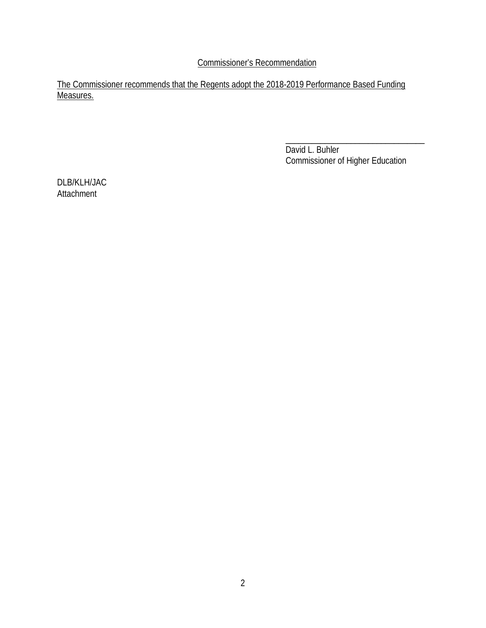Commissioner's Recommendation

The Commissioner recommends that the Regents adopt the 2018-2019 Performance Based Funding Measures.

> \_\_\_\_\_\_\_\_\_\_\_\_\_\_\_\_\_\_\_\_\_\_\_\_\_\_\_\_\_\_\_\_ David L. Buhler Commissioner of Higher Education

DLB/KLH/JAC **Attachment**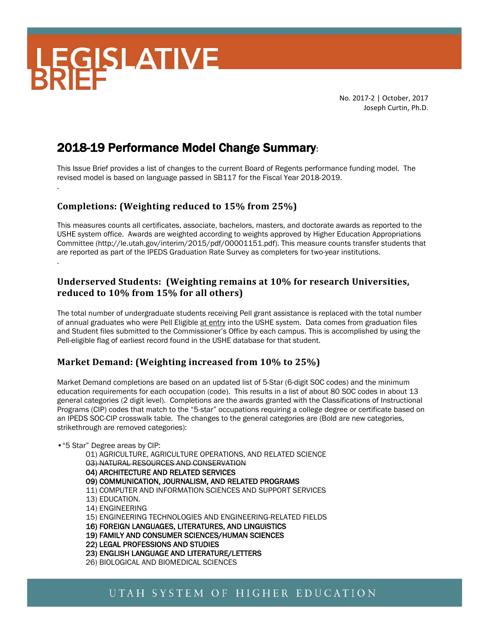# **LEGISLATIVE**

.

No. 2017-2 | October, 2017 Joseph Curtin, Ph.D.

## 2018-19 Performance Model Change Summary:

This Issue Brief provides a list of changes to the current Board of Regents performance funding model. The revised model is based on language passed in SB117 for the Fiscal Year 2018-2019.

#### **Completions: (Weighting reduced to 15% from 25%)**

This measures counts all certificates, associate, bachelors, masters, and doctorate awards as reported to the USHE system office. Awards are weighted according to weights approved by Higher Education Appropriations Committee (http://le.utah.gov/interim/2015/pdf/00001151.pdf). This measure counts transfer students that are reported as part of the IPEDS Graduation Rate Survey as completers for two-year institutions. .

#### **Underserved Students: (Weighting remains at 10% for research Universities, reduced to 10% from 15% for all others)**

The total number of undergraduate students receiving Pell grant assistance is replaced with the total number of annual graduates who were Pell Eligible at entry into the USHE system. Data comes from graduation files and Student files submitted to the Commissioner's Office by each campus. This is accomplished by using the Pell-eligible flag of earliest record found in the USHE database for that student.

#### **Market Demand: (Weighting increased from 10% to 25%)**

Market Demand completions are based on an updated list of 5-Star (6-digit SOC codes) and the minimum education requirements for each occupation (code). This results in a list of about 80 SOC codes in about 13 general categories (2 digit level). Completions are the awards granted with the Classifications of Instructional Programs (CIP) codes that match to the "5-star" occupations requiring a college degree or certificate based on an IPEDS SOC-CIP crosswalk table. The changes to the general categories are (Bold are new categories, strikethrough are removed categories):

#### •"5 Star" Degree areas by CIP:

01) AGRICULTURE, AGRICULTURE OPERATIONS, AND RELATED SCIENCE 03) NATURAL RESOURCES AND CONSERVATION 04) ARCHITECTURE AND RELATED SERVICES 09) COMMUNICATION, JOURNALISM, AND RELATED PROGRAMS 11) COMPUTER AND INFORMATION SCIENCES AND SUPPORT SERVICES 13) EDUCATION. 14) ENGINEERING 15) ENGINEERING TECHNOLOGIES AND ENGINEERING-RELATED FIELDS 16) FOREIGN LANGUAGES, LITERATURES, AND LINGUISTICS 19) FAMILY AND CONSUMER SCIENCES/HUMAN SCIENCES 22) LEGAL PROFESSIONS AND STUDIES 23) ENGLISH LANGUAGE AND LITERATURE/LETTERS 26) BIOLOGICAL AND BIOMEDICAL SCIENCES

### UTAH SYSTEM OF HIGHER EDUCATION